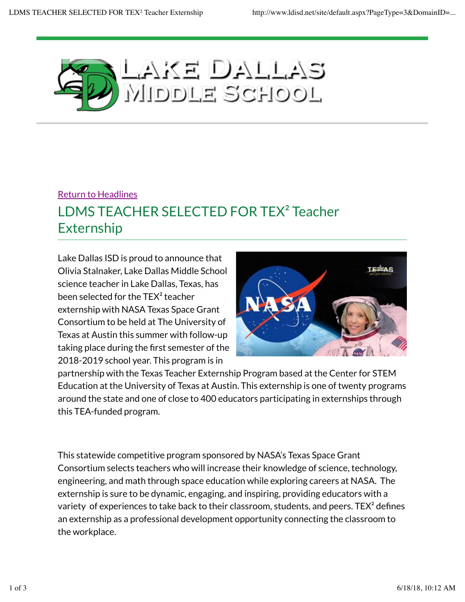

## Return to Headlines LDMS TEACHER SELECTED FOR TEX² Teacher Externship

Lake Dallas ISD is proud to announce that Olivia Stalnaker, Lake Dallas Middle School science teacher in Lake Dallas, Texas, has been selected for the TEX² teacher externship with NASA Texas Space Grant Consortium to be held at The University of Texas at Austin this summer with follow-up taking place during the first semester of the 2018-2019 school year. This program is in



partnership with the Texas Teacher Externship Program based at the Center for STEM Education at the University of Texas at Austin. This externship is one of twenty programs around the state and one of close to 400 educators participating in externships through this TEA-funded program.

This statewide competitive program sponsored by NASA's Texas Space Grant Consortium selects teachers who will increase their knowledge of science, technology, engineering, and math through space education while exploring careers at NASA. The externship is sure to be dynamic, engaging, and inspiring, providing educators with a variety of experiences to take back to their classroom, students, and peers. TEX<sup>2</sup> defines an externship as a professional development opportunity connecting the classroom to the workplace.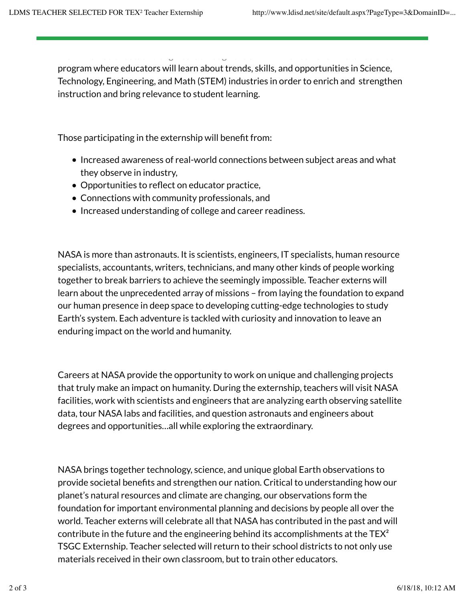program where educators will learn about trends, skills, and opportunities in Science, Technology, Engineering, and Math (STEM) industries in order to enrich and strengthen instruction and bring relevance to student learning.

Teacher externs with NASA Texas Space Grant Consortium will have direct experience and the consortium will have with NASA scientists and engineers through the STEM Engineers through the STEM Enhancement in Earth Science Sc

Those participating in the externship will benefit from:

- Increased awareness of real-world connections between subject areas and what they observe in industry,
- Opportunities to reflect on educator practice,
- Connections with community professionals, and
- Increased understanding of college and career readiness.

NASA is more than astronauts. It is scientists, engineers, IT specialists, human resource specialists, accountants, writers, technicians, and many other kinds of people working together to break barriers to achieve the seemingly impossible. Teacher externs will learn about the unprecedented array of missions – from laying the foundation to expand our human presence in deep space to developing cutting-edge technologies to study Earth's system. Each adventure is tackled with curiosity and innovation to leave an enduring impact on the world and humanity.

Careers at NASA provide the opportunity to work on unique and challenging projects that truly make an impact on humanity. During the externship, teachers will visit NASA facilities, work with scientists and engineers that are analyzing earth observing satellite data, tour NASA labs and facilities, and question astronauts and engineers about degrees and opportunities…all while exploring the extraordinary.

NASA brings together technology, science, and unique global Earth observations to provide societal benefits and strengthen our nation. Critical to understanding how our planet's natural resources and climate are changing, our observations form the foundation for important environmental planning and decisions by people all over the world. Teacher externs will celebrate all that NASA has contributed in the past and will contribute in the future and the engineering behind its accomplishments at the  $TEX<sup>2</sup>$ TSGC Externship. Teacher selected will return to their school districts to not only use materials received in their own classroom, but to train other educators.